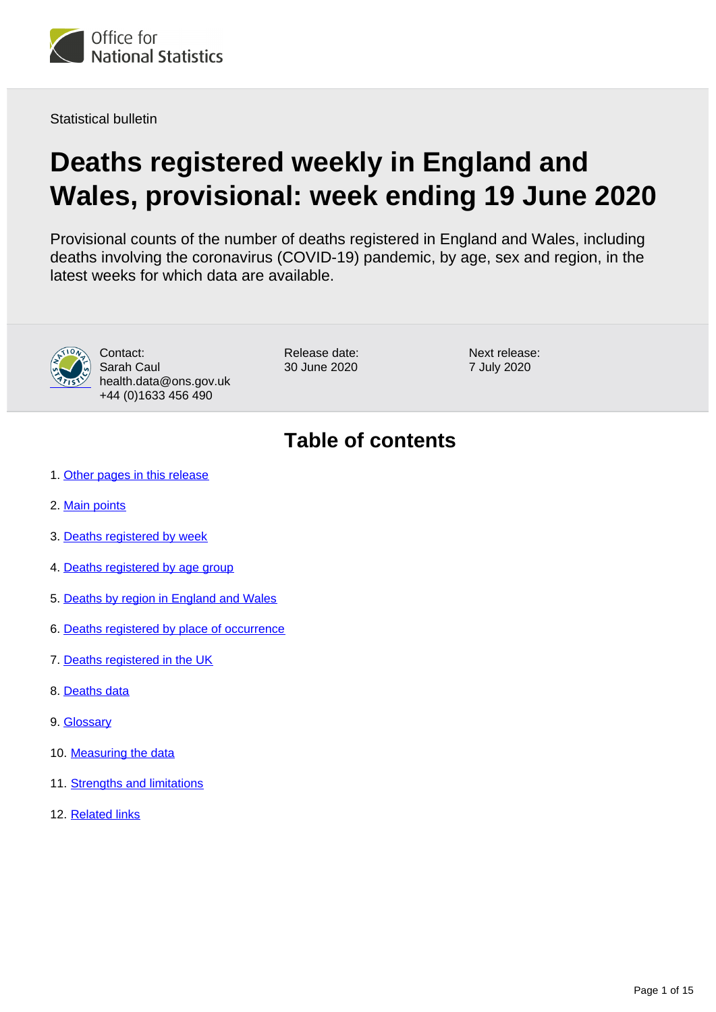<span id="page-0-0"></span>

Statistical bulletin

# **Deaths registered weekly in England and Wales, provisional: week ending 19 June 2020**

Provisional counts of the number of deaths registered in England and Wales, including deaths involving the coronavirus (COVID-19) pandemic, by age, sex and region, in the latest weeks for which data are available.



Contact: Sarah Caul health.data@ons.gov.uk +44 (0)1633 456 490

Release date: 30 June 2020

Next release: 7 July 2020

# **Table of contents**

- 1. [Other pages in this release](#page-1-0)
- 2. [Main points](#page-1-1)
- 3. [Deaths registered by week](#page-1-2)
- 4. [Deaths registered by age group](#page-3-0)
- 5. [Deaths by region in England and Wales](#page-4-0)
- 6. [Deaths registered by place of occurrence](#page-6-0)
- 7. [Deaths registered in the UK](#page-10-0)
- 8. [Deaths data](#page-11-0)
- 9. [Glossary](#page-11-1)
- 10. [Measuring the data](#page-11-2)
- 11. [Strengths and limitations](#page-14-0)
- 12. [Related links](#page-14-1)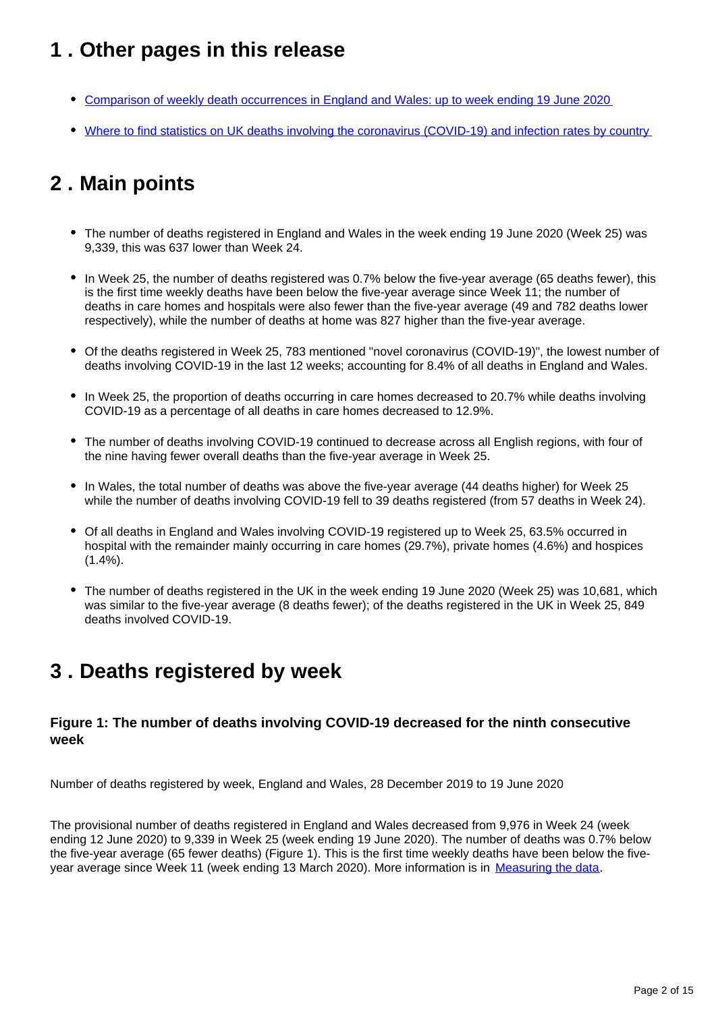# <span id="page-1-0"></span>**1 . Other pages in this release**

- [Comparison of weekly death occurrences in England and Wales: up to week ending 19 June 2020](https://www.ons.gov.uk/peoplepopulationandcommunity/healthandsocialcare/causesofdeath/articles/comparisonofweeklydeathoccurrencesinenglandandwales/latest)
- [Where to find statistics on UK deaths involving the coronavirus \(COVID-19\) and infection rates by country](https://www.ons.gov.uk/peoplepopulationandcommunity/birthsdeathsandmarriages/deaths/articles/wheretofindstatisticsonukdeathsinvolvingthecoronaviruscovid19andinfectionratesbycountry/latest)

# <span id="page-1-1"></span>**2 . Main points**

- The number of deaths registered in England and Wales in the week ending 19 June 2020 (Week 25) was 9,339, this was 637 lower than Week 24.
- In Week 25, the number of deaths registered was 0.7% below the five-year average (65 deaths fewer), this is the first time weekly deaths have been below the five-year average since Week 11; the number of deaths in care homes and hospitals were also fewer than the five-year average (49 and 782 deaths lower respectively), while the number of deaths at home was 827 higher than the five-year average.
- Of the deaths registered in Week 25, 783 mentioned "novel coronavirus (COVID-19)", the lowest number of deaths involving COVID-19 in the last 12 weeks; accounting for 8.4% of all deaths in England and Wales.
- In Week 25, the proportion of deaths occurring in care homes decreased to 20.7% while deaths involving COVID-19 as a percentage of all deaths in care homes decreased to 12.9%.
- The number of deaths involving COVID-19 continued to decrease across all English regions, with four of the nine having fewer overall deaths than the five-year average in Week 25.
- In Wales, the total number of deaths was above the five-year average (44 deaths higher) for Week 25 while the number of deaths involving COVID-19 fell to 39 deaths registered (from 57 deaths in Week 24).
- Of all deaths in England and Wales involving COVID-19 registered up to Week 25, 63.5% occurred in hospital with the remainder mainly occurring in care homes (29.7%), private homes (4.6%) and hospices (1.4%).
- The number of deaths registered in the UK in the week ending 19 June 2020 (Week 25) was 10,681, which was similar to the five-year average (8 deaths fewer); of the deaths registered in the UK in Week 25, 849 deaths involved COVID-19.

## <span id="page-1-2"></span>**3 . Deaths registered by week**

## **Figure 1: The number of deaths involving COVID-19 decreased for the ninth consecutive week**

Number of deaths registered by week, England and Wales, 28 December 2019 to 19 June 2020

The provisional number of deaths registered in England and Wales decreased from 9,976 in Week 24 (week ending 12 June 2020) to 9,339 in Week 25 (week ending 19 June 2020). The number of deaths was 0.7% below the five-year average (65 fewer deaths) (Figure 1). This is the first time weekly deaths have been below the five-year average since Week 11 (week ending 13 March 2020). More information is in [Measuring the data.](https://www.ons.gov.uk/peoplepopulationandcommunity/birthsdeathsandmarriages/deaths/bulletins/deathsregisteredweeklyinenglandandwalesprovisional/latest#measuring-the-data)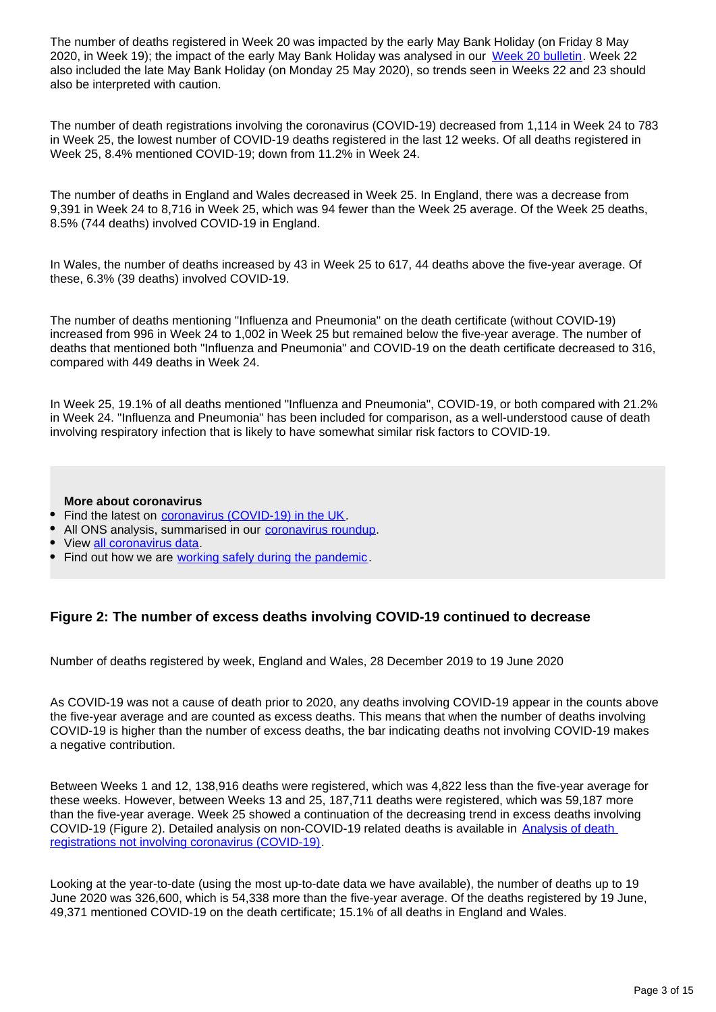The number of deaths registered in Week 20 was impacted by the early May Bank Holiday (on Friday 8 May 2020, in Week 19); the impact of the early May Bank Holiday was analysed in our [Week 20 bulletin.](https://www.ons.gov.uk/peoplepopulationandcommunity/birthsdeathsandmarriages/deaths/bulletins/deathsregisteredweeklyinenglandandwalesprovisional/weekending15may2020#deaths-registered-by-week) Week 22 also included the late May Bank Holiday (on Monday 25 May 2020), so trends seen in Weeks 22 and 23 should also be interpreted with caution.

The number of death registrations involving the coronavirus (COVID-19) decreased from 1,114 in Week 24 to 783 in Week 25, the lowest number of COVID-19 deaths registered in the last 12 weeks. Of all deaths registered in Week 25, 8.4% mentioned COVID-19; down from 11.2% in Week 24.

The number of deaths in England and Wales decreased in Week 25. In England, there was a decrease from 9,391 in Week 24 to 8,716 in Week 25, which was 94 fewer than the Week 25 average. Of the Week 25 deaths, 8.5% (744 deaths) involved COVID-19 in England.

In Wales, the number of deaths increased by 43 in Week 25 to 617, 44 deaths above the five-year average. Of these, 6.3% (39 deaths) involved COVID-19.

The number of deaths mentioning "Influenza and Pneumonia" on the death certificate (without COVID-19) increased from 996 in Week 24 to 1,002 in Week 25 but remained below the five-year average. The number of deaths that mentioned both "Influenza and Pneumonia" and COVID-19 on the death certificate decreased to 316, compared with 449 deaths in Week 24.

In Week 25, 19.1% of all deaths mentioned "Influenza and Pneumonia", COVID-19, or both compared with 21.2% in Week 24. "Influenza and Pneumonia" has been included for comparison, as a well-understood cause of death involving respiratory infection that is likely to have somewhat similar risk factors to COVID-19.

### **More about coronavirus**

- Find the latest on [coronavirus \(COVID-19\) in the UK](https://www.ons.gov.uk/peoplepopulationandcommunity/healthandsocialcare/conditionsanddiseases/bulletins/coronavirustheukeconomyandsocietyfasterindicators/latest).
- All ONS analysis, summarised in our [coronavirus roundup.](https://www.ons.gov.uk/peoplepopulationandcommunity/healthandsocialcare/conditionsanddiseases/articles/coronaviruscovid19roundup/latest)
- View [all coronavirus data.](https://www.ons.gov.uk/peoplepopulationandcommunity/healthandsocialcare/conditionsanddiseases/datalist)
- Find out how we are [working safely during the pandemic](https://www.ons.gov.uk/news/statementsandletters/ensuringyoursafetyduringcovid19).

### **Figure 2: The number of excess deaths involving COVID-19 continued to decrease**

Number of deaths registered by week, England and Wales, 28 December 2019 to 19 June 2020

As COVID-19 was not a cause of death prior to 2020, any deaths involving COVID-19 appear in the counts above the five-year average and are counted as excess deaths. This means that when the number of deaths involving COVID-19 is higher than the number of excess deaths, the bar indicating deaths not involving COVID-19 makes a negative contribution.

Between Weeks 1 and 12, 138,916 deaths were registered, which was 4,822 less than the five-year average for these weeks. However, between Weeks 13 and 25, 187,711 deaths were registered, which was 59,187 more than the five-year average. Week 25 showed a continuation of the decreasing trend in excess deaths involving COVID-19 (Figure 2). Detailed analysis on non-COVID-19 related deaths is available in Analysis of death [registrations not involving coronavirus \(COVID-19\)](https://www.ons.gov.uk/peoplepopulationandcommunity/birthsdeathsandmarriages/deaths/articles/analysisofdeathregistrationsnotinvolvingcoronaviruscovid19englandandwales28december2019to1may2020/technicalannex).

Looking at the year-to-date (using the most up-to-date data we have available), the number of deaths up to 19 June 2020 was 326,600, which is 54,338 more than the five-year average. Of the deaths registered by 19 June, 49,371 mentioned COVID-19 on the death certificate; 15.1% of all deaths in England and Wales.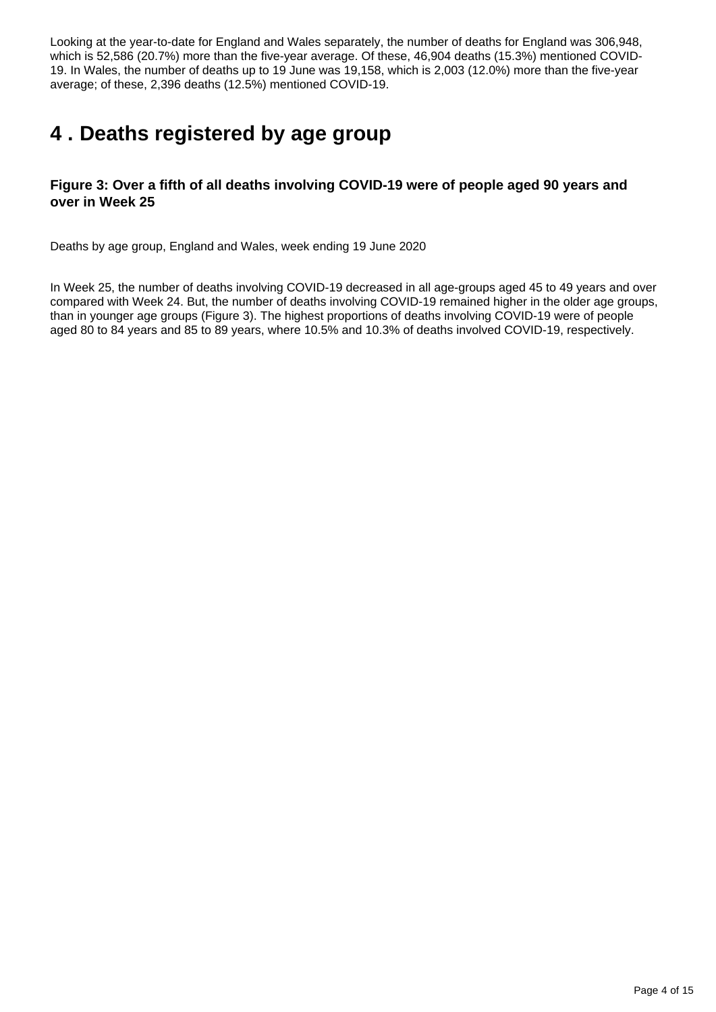Looking at the year-to-date for England and Wales separately, the number of deaths for England was 306,948, which is 52,586 (20.7%) more than the five-year average. Of these, 46,904 deaths (15.3%) mentioned COVID-19. In Wales, the number of deaths up to 19 June was 19,158, which is 2,003 (12.0%) more than the five-year average; of these, 2,396 deaths (12.5%) mentioned COVID-19.

# <span id="page-3-0"></span>**4 . Deaths registered by age group**

## **Figure 3: Over a fifth of all deaths involving COVID-19 were of people aged 90 years and over in Week 25**

Deaths by age group, England and Wales, week ending 19 June 2020

In Week 25, the number of deaths involving COVID-19 decreased in all age-groups aged 45 to 49 years and over compared with Week 24. But, the number of deaths involving COVID-19 remained higher in the older age groups, than in younger age groups (Figure 3). The highest proportions of deaths involving COVID-19 were of people aged 80 to 84 years and 85 to 89 years, where 10.5% and 10.3% of deaths involved COVID-19, respectively.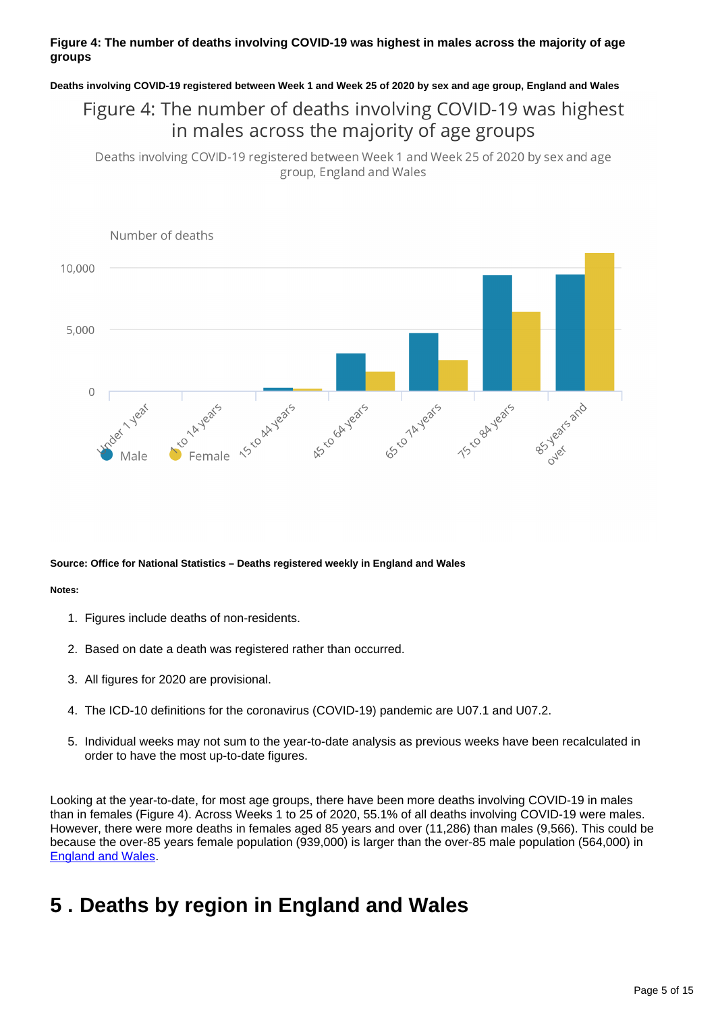### **Figure 4: The number of deaths involving COVID-19 was highest in males across the majority of age groups**

### **Deaths involving COVID-19 registered between Week 1 and Week 25 of 2020 by sex and age group, England and Wales**

## Figure 4: The number of deaths involving COVID-19 was highest in males across the majority of age groups

Deaths involving COVID-19 registered between Week 1 and Week 25 of 2020 by sex and age group, England and Wales



### **Source: Office for National Statistics – Deaths registered weekly in England and Wales**

#### **Notes:**

- 1. Figures include deaths of non-residents.
- 2. Based on date a death was registered rather than occurred.
- 3. All figures for 2020 are provisional.
- 4. The ICD-10 definitions for the coronavirus (COVID-19) pandemic are U07.1 and U07.2.
- 5. Individual weeks may not sum to the year-to-date analysis as previous weeks have been recalculated in order to have the most up-to-date figures.

Looking at the year-to-date, for most age groups, there have been more deaths involving COVID-19 in males than in females (Figure 4). Across Weeks 1 to 25 of 2020, 55.1% of all deaths involving COVID-19 were males. However, there were more deaths in females aged 85 years and over (11,286) than males (9,566). This could be because the over-85 years female population (939,000) is larger than the over-85 male population (564,000) in [England and Wales](https://www.ons.gov.uk/peoplepopulationandcommunity/populationandmigration/populationprojections/datasets/2014basednationalpopulationprojectionstableofcontents).

## <span id="page-4-0"></span>**5 . Deaths by region in England and Wales**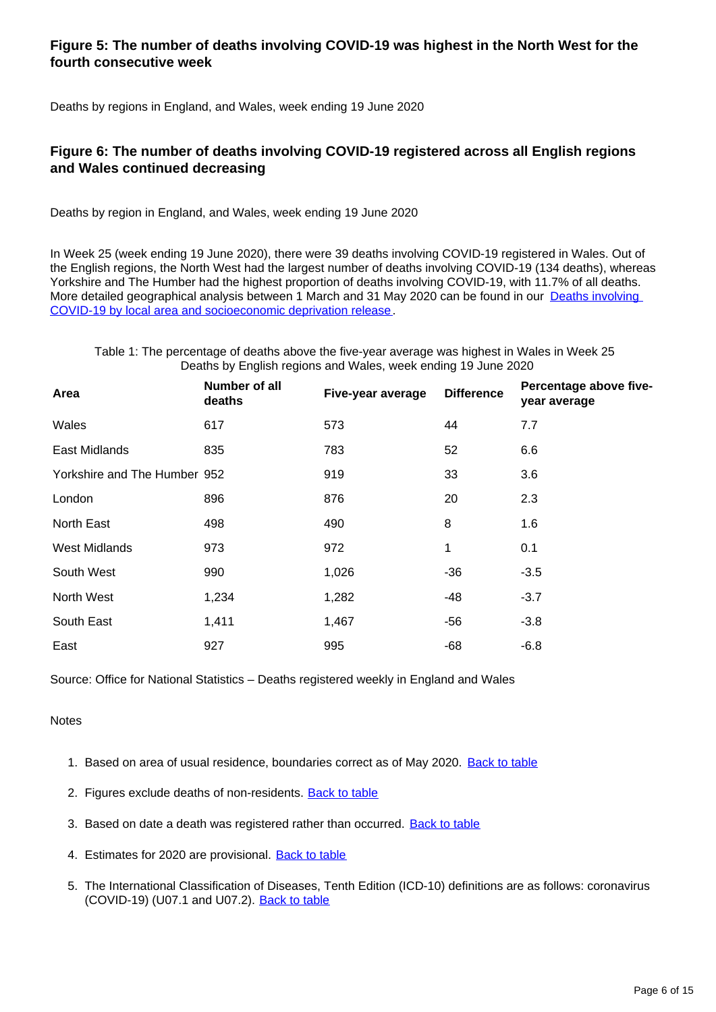## **Figure 5: The number of deaths involving COVID-19 was highest in the North West for the fourth consecutive week**

Deaths by regions in England, and Wales, week ending 19 June 2020

## **Figure 6: The number of deaths involving COVID-19 registered across all English regions and Wales continued decreasing**

Deaths by region in England, and Wales, week ending 19 June 2020

In Week 25 (week ending 19 June 2020), there were 39 deaths involving COVID-19 registered in Wales. Out of the English regions, the North West had the largest number of deaths involving COVID-19 (134 deaths), whereas Yorkshire and The Humber had the highest proportion of deaths involving COVID-19, with 11.7% of all deaths. More detailed geographical analysis between 1 March and 31 May 2020 can be found in our Deaths involving [COVID-19 by local area and socioeconomic deprivation release](https://www.ons.gov.uk/peoplepopulationandcommunity/birthsdeathsandmarriages/deaths/bulletins/deathsinvolvingcovid19bylocalareasanddeprivation/deathsoccurringbetween1marchand31may2020).

Table 1: The percentage of deaths above the five-year average was highest in Wales in Week 25 Deaths by English regions and Wales, week ending 19 June 2020

| Area                         | Number of all<br>deaths | Five-year average | <b>Difference</b> | Percentage above five-<br>year average |
|------------------------------|-------------------------|-------------------|-------------------|----------------------------------------|
| Wales                        | 617                     | 573               | 44                | 7.7                                    |
| East Midlands                | 835                     | 783               | 52                | 6.6                                    |
| Yorkshire and The Humber 952 |                         | 919               | 33                | 3.6                                    |
| London                       | 896                     | 876               | 20                | 2.3                                    |
| North East                   | 498                     | 490               | 8                 | 1.6                                    |
| <b>West Midlands</b>         | 973                     | 972               | 1                 | 0.1                                    |
| South West                   | 990                     | 1,026             | $-36$             | $-3.5$                                 |
| North West                   | 1,234                   | 1,282             | -48               | $-3.7$                                 |
| South East                   | 1,411                   | 1,467             | -56               | $-3.8$                                 |
| East                         | 927                     | 995               | $-68$             | $-6.8$                                 |

Source: Office for National Statistics – Deaths registered weekly in England and Wales

### **Notes**

- 1. Based on area of usual residence, boundaries correct as of May 2020. [Back to table](#page-0-0)
- 2. Figures exclude deaths of non-residents. **[Back to table](#page-0-0)**
- 3. Based on date a death was registered rather than occurred. **[Back to table](#page-0-0)**
- 4. Estimates for 2020 are provisional. **[Back to table](#page-0-0)**
- 5. The International Classification of Diseases, Tenth Edition (ICD-10) definitions are as follows: coronavirus (COVID-19) (U07.1 and U07.2). [Back to table](#page-0-0)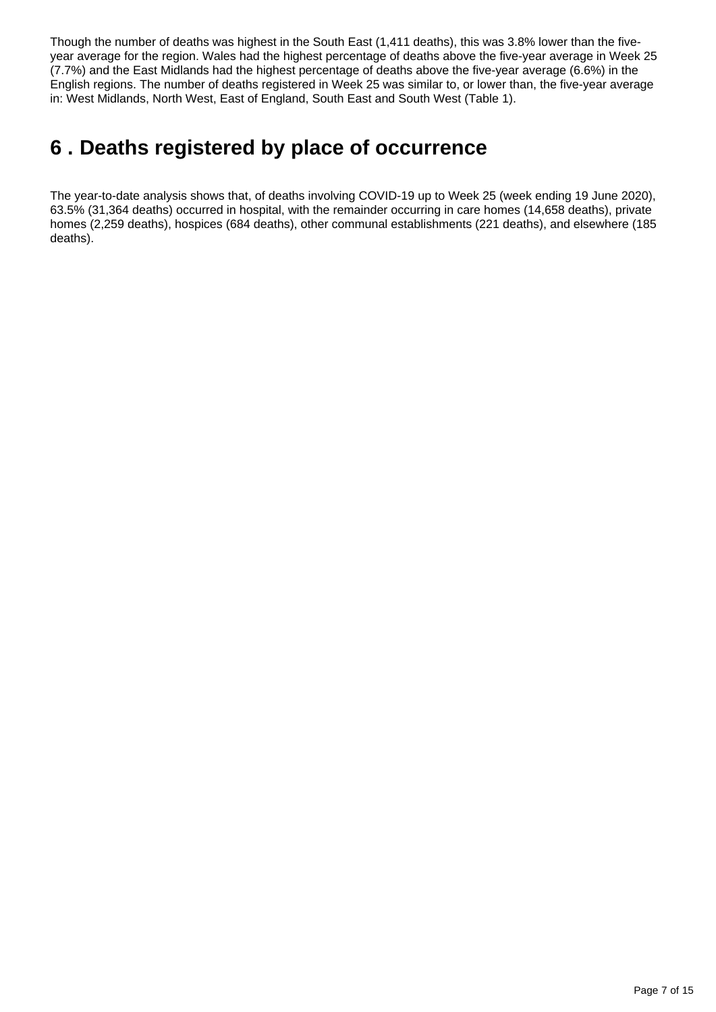Though the number of deaths was highest in the South East (1,411 deaths), this was 3.8% lower than the fiveyear average for the region. Wales had the highest percentage of deaths above the five-year average in Week 25 (7.7%) and the East Midlands had the highest percentage of deaths above the five-year average (6.6%) in the English regions. The number of deaths registered in Week 25 was similar to, or lower than, the five-year average in: West Midlands, North West, East of England, South East and South West (Table 1).

# <span id="page-6-0"></span>**6 . Deaths registered by place of occurrence**

The year-to-date analysis shows that, of deaths involving COVID-19 up to Week 25 (week ending 19 June 2020), 63.5% (31,364 deaths) occurred in hospital, with the remainder occurring in care homes (14,658 deaths), private homes (2,259 deaths), hospices (684 deaths), other communal establishments (221 deaths), and elsewhere (185 deaths).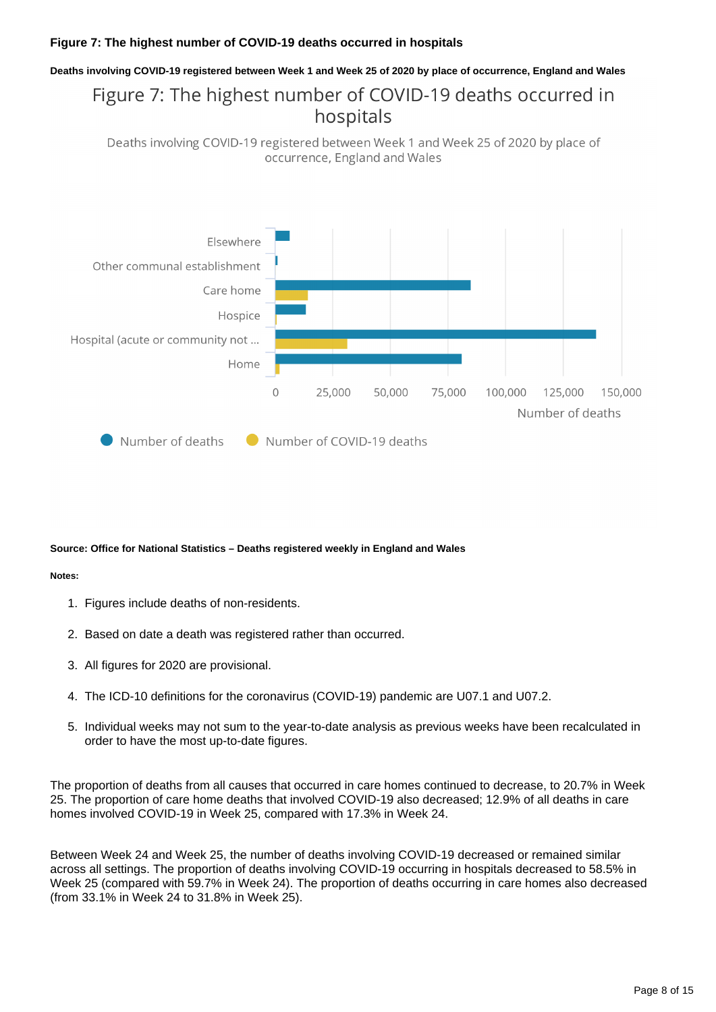### **Figure 7: The highest number of COVID-19 deaths occurred in hospitals**

### **Deaths involving COVID-19 registered between Week 1 and Week 25 of 2020 by place of occurrence, England and Wales**

## Figure 7: The highest number of COVID-19 deaths occurred in hospitals

Deaths involving COVID-19 registered between Week 1 and Week 25 of 2020 by place of occurrence, England and Wales



#### **Source: Office for National Statistics – Deaths registered weekly in England and Wales**

#### **Notes:**

- 1. Figures include deaths of non-residents.
- 2. Based on date a death was registered rather than occurred.
- 3. All figures for 2020 are provisional.
- 4. The ICD-10 definitions for the coronavirus (COVID-19) pandemic are U07.1 and U07.2.
- 5. Individual weeks may not sum to the year-to-date analysis as previous weeks have been recalculated in order to have the most up-to-date figures.

The proportion of deaths from all causes that occurred in care homes continued to decrease, to 20.7% in Week 25. The proportion of care home deaths that involved COVID-19 also decreased; 12.9% of all deaths in care homes involved COVID-19 in Week 25, compared with 17.3% in Week 24.

Between Week 24 and Week 25, the number of deaths involving COVID-19 decreased or remained similar across all settings. The proportion of deaths involving COVID-19 occurring in hospitals decreased to 58.5% in Week 25 (compared with 59.7% in Week 24). The proportion of deaths occurring in care homes also decreased (from 33.1% in Week 24 to 31.8% in Week 25).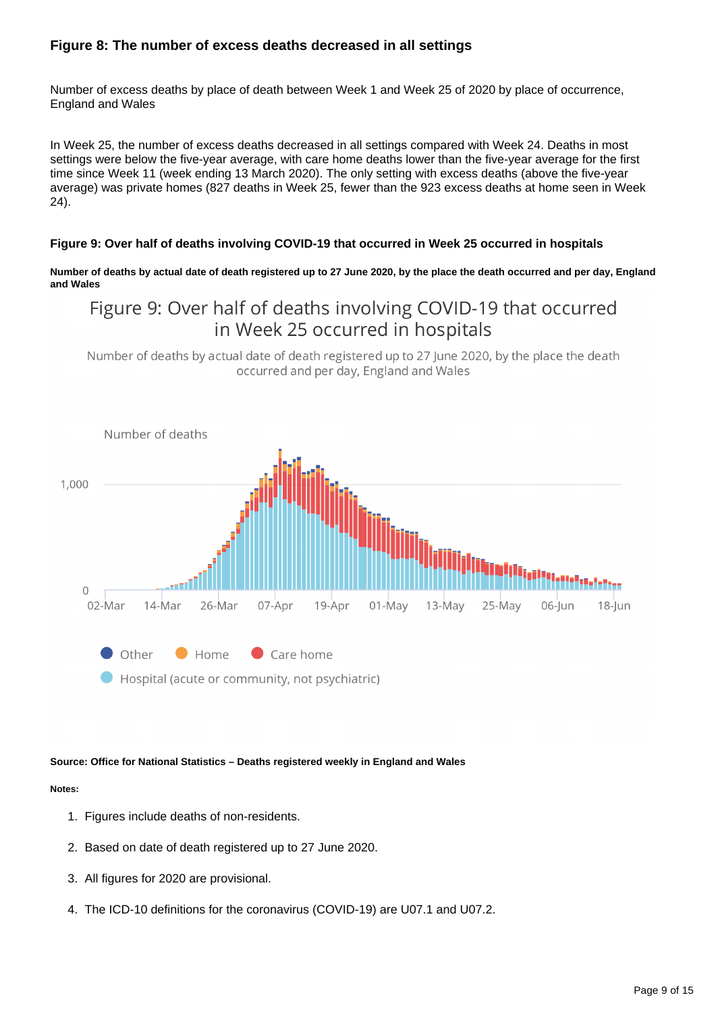## **Figure 8: The number of excess deaths decreased in all settings**

Number of excess deaths by place of death between Week 1 and Week 25 of 2020 by place of occurrence, England and Wales

In Week 25, the number of excess deaths decreased in all settings compared with Week 24. Deaths in most settings were below the five-year average, with care home deaths lower than the five-year average for the first time since Week 11 (week ending 13 March 2020). The only setting with excess deaths (above the five-year average) was private homes (827 deaths in Week 25, fewer than the 923 excess deaths at home seen in Week 24).

### **Figure 9: Over half of deaths involving COVID-19 that occurred in Week 25 occurred in hospitals**

**Number of deaths by actual date of death registered up to 27 June 2020, by the place the death occurred and per day, England and Wales**

## Figure 9: Over half of deaths involving COVID-19 that occurred in Week 25 occurred in hospitals

Number of deaths by actual date of death registered up to 27 June 2020, by the place the death occurred and per day, England and Wales



#### **Source: Office for National Statistics – Deaths registered weekly in England and Wales**

### **Notes:**

- 1. Figures include deaths of non-residents.
- 2. Based on date of death registered up to 27 June 2020.
- 3. All figures for 2020 are provisional.
- 4. The ICD-10 definitions for the coronavirus (COVID-19) are U07.1 and U07.2.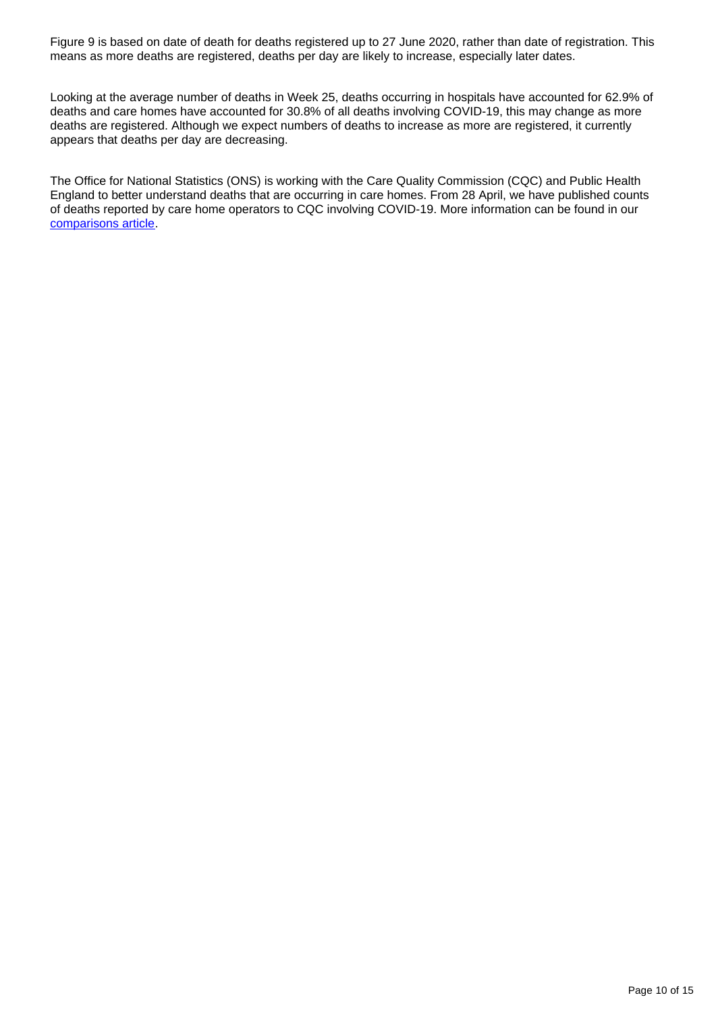Figure 9 is based on date of death for deaths registered up to 27 June 2020, rather than date of registration. This means as more deaths are registered, deaths per day are likely to increase, especially later dates.

Looking at the average number of deaths in Week 25, deaths occurring in hospitals have accounted for 62.9% of deaths and care homes have accounted for 30.8% of all deaths involving COVID-19, this may change as more deaths are registered. Although we expect numbers of deaths to increase as more are registered, it currently appears that deaths per day are decreasing.

The Office for National Statistics (ONS) is working with the Care Quality Commission (CQC) and Public Health England to better understand deaths that are occurring in care homes. From 28 April, we have published counts of deaths reported by care home operators to CQC involving COVID-19. More information can be found in our [comparisons article.](https://www.ons.gov.uk/peoplepopulationandcommunity/healthandsocialcare/causesofdeath/articles/comparisonofweeklydeathoccurrencesinenglandandwales/latest)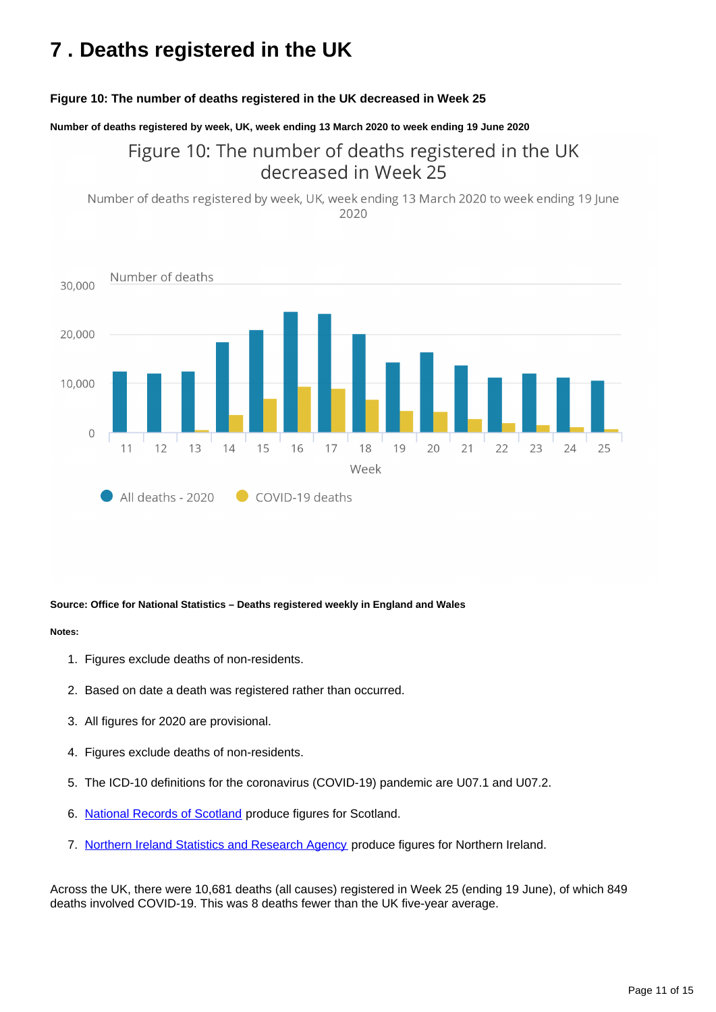# <span id="page-10-0"></span>**7 . Deaths registered in the UK**

### **Figure 10: The number of deaths registered in the UK decreased in Week 25**

**Number of deaths registered by week, UK, week ending 13 March 2020 to week ending 19 June 2020**

## Figure 10: The number of deaths registered in the UK decreased in Week 25

Number of deaths registered by week, UK, week ending 13 March 2020 to week ending 19 June 2020



### **Source: Office for National Statistics – Deaths registered weekly in England and Wales**

#### **Notes:**

- 1. Figures exclude deaths of non-residents.
- 2. Based on date a death was registered rather than occurred.
- 3. All figures for 2020 are provisional.
- 4. Figures exclude deaths of non-residents.
- 5. The ICD-10 definitions for the coronavirus (COVID-19) pandemic are U07.1 and U07.2.
- 6. [National Records of Scotland](https://www.nrscotland.gov.uk/statistics-and-data/statistics/statistics-by-theme/vital-events/general-publications/weekly-and-monthly-data-on-births-and-deaths-registered-in-scotland) produce figures for Scotland.
- 7. [Northern Ireland Statistics and Research Agency](https://www.nisra.gov.uk/publications/weekly-deaths) produce figures for Northern Ireland.

Across the UK, there were 10,681 deaths (all causes) registered in Week 25 (ending 19 June), of which 849 deaths involved COVID-19. This was 8 deaths fewer than the UK five-year average.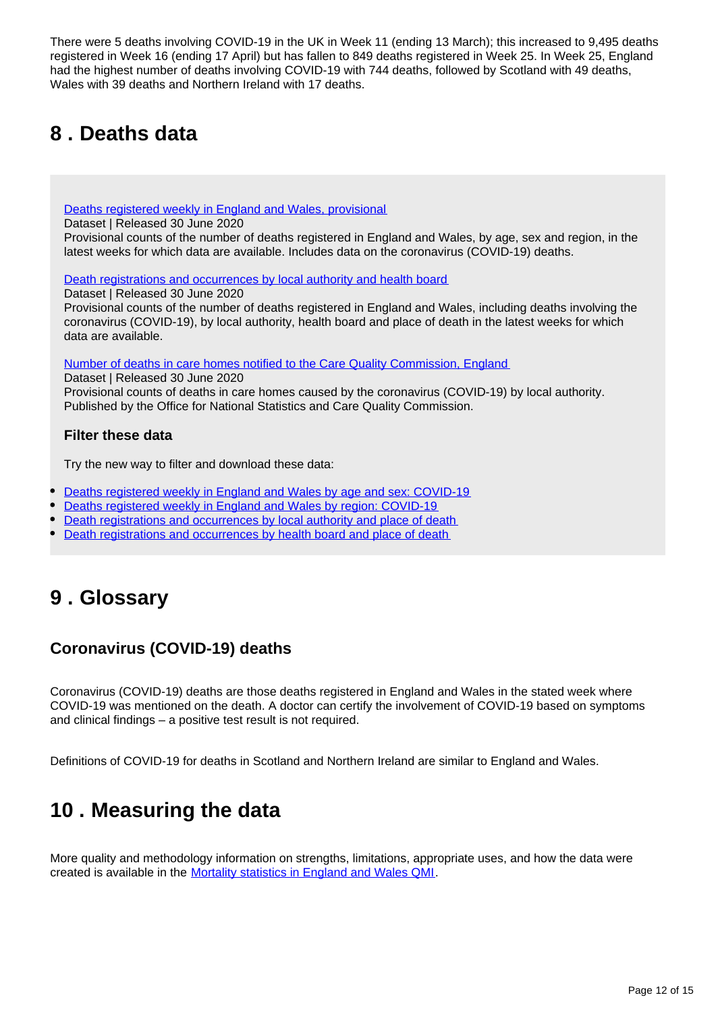There were 5 deaths involving COVID-19 in the UK in Week 11 (ending 13 March); this increased to 9,495 deaths registered in Week 16 (ending 17 April) but has fallen to 849 deaths registered in Week 25. In Week 25, England had the highest number of deaths involving COVID-19 with 744 deaths, followed by Scotland with 49 deaths, Wales with 39 deaths and Northern Ireland with 17 deaths.

# <span id="page-11-0"></span>**8 . Deaths data**

[Deaths registered weekly in England and Wales, provisional](https://www.ons.gov.uk/peoplepopulationandcommunity/birthsdeathsandmarriages/deaths/datasets/weeklyprovisionalfiguresondeathsregisteredinenglandandwales)

Dataset | Released 30 June 2020

Provisional counts of the number of deaths registered in England and Wales, by age, sex and region, in the latest weeks for which data are available. Includes data on the coronavirus (COVID-19) deaths.

[Death registrations and occurrences by local authority and health board](https://www.ons.gov.uk/peoplepopulationandcommunity/healthandsocialcare/causesofdeath/datasets/deathregistrationsandoccurrencesbylocalauthorityandhealthboard)

Dataset | Released 30 June 2020

Provisional counts of the number of deaths registered in England and Wales, including deaths involving the coronavirus (COVID-19), by local authority, health board and place of death in the latest weeks for which data are available.

[Number of deaths in care homes notified to the Care Quality Commission, England](https://www.ons.gov.uk/peoplepopulationandcommunity/birthsdeathsandmarriages/deaths/datasets/numberofdeathsincarehomesnotifiedtothecarequalitycommissionengland)

Dataset | Released 30 June 2020

Provisional counts of deaths in care homes caused by the coronavirus (COVID-19) by local authority. Published by the Office for National Statistics and Care Quality Commission.

### **Filter these data**

Try the new way to filter and download these data:

- [Deaths registered weekly in England and Wales by age and sex: COVID-19](https://www.ons.gov.uk/datasets/weekly-deaths-age-sex?%3Auri=weekly-deaths-age-sex%2F)
- [Deaths registered weekly in England and Wales by region: COVID-19](https://www.ons.gov.uk/datasets/weekly-deaths-region/)
- [Death registrations and occurrences by local authority and place of death](https://www.ons.gov.uk/datasets/weekly-deaths-local-authority/)
- [Death registrations and occurrences by health board and place of death](https://www.ons.gov.uk/datasets/weekly-deaths-health-board/editions/time-series/versions/7)

## <span id="page-11-1"></span>**9 . Glossary**

## **Coronavirus (COVID-19) deaths**

Coronavirus (COVID-19) deaths are those deaths registered in England and Wales in the stated week where COVID-19 was mentioned on the death. A doctor can certify the involvement of COVID-19 based on symptoms and clinical findings – a positive test result is not required.

Definitions of COVID-19 for deaths in Scotland and Northern Ireland are similar to England and Wales.

## <span id="page-11-2"></span>**10 . Measuring the data**

More quality and methodology information on strengths, limitations, appropriate uses, and how the data were created is available in the [Mortality statistics in England and Wales QMI.](https://www.ons.gov.uk/peoplepopulationandcommunity/birthsdeathsandmarriages/deaths/methodologies/mortalitystatisticsinenglandandwalesqmi)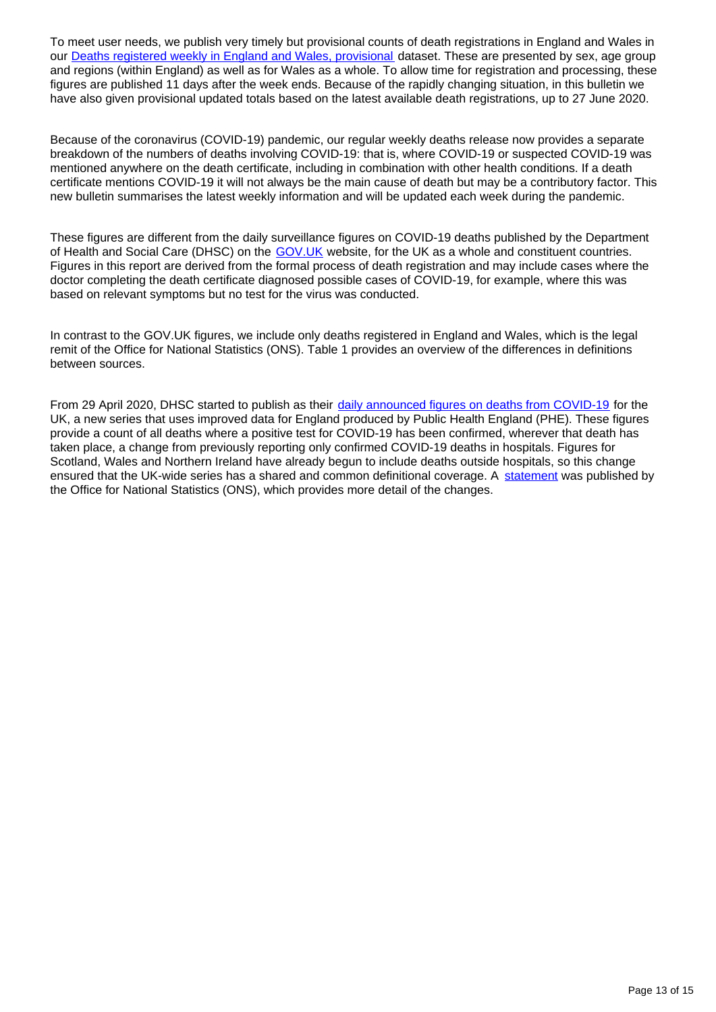To meet user needs, we publish very timely but provisional counts of death registrations in England and Wales in our **Deaths registered weekly in England and Wales, provisional dataset.** These are presented by sex, age group and regions (within England) as well as for Wales as a whole. To allow time for registration and processing, these figures are published 11 days after the week ends. Because of the rapidly changing situation, in this bulletin we have also given provisional updated totals based on the latest available death registrations, up to 27 June 2020.

Because of the coronavirus (COVID-19) pandemic, our regular weekly deaths release now provides a separate breakdown of the numbers of deaths involving COVID-19: that is, where COVID-19 or suspected COVID-19 was mentioned anywhere on the death certificate, including in combination with other health conditions. If a death certificate mentions COVID-19 it will not always be the main cause of death but may be a contributory factor. This new bulletin summarises the latest weekly information and will be updated each week during the pandemic.

These figures are different from the daily surveillance figures on COVID-19 deaths published by the Department of Health and Social Care (DHSC) on the GOV. UK website, for the UK as a whole and constituent countries. Figures in this report are derived from the formal process of death registration and may include cases where the doctor completing the death certificate diagnosed possible cases of COVID-19, for example, where this was based on relevant symptoms but no test for the virus was conducted.

In contrast to the GOV.UK figures, we include only deaths registered in England and Wales, which is the legal remit of the Office for National Statistics (ONS). Table 1 provides an overview of the differences in definitions between sources.

From 29 April 2020, DHSC started to publish as their [daily announced figures on deaths from COVID-19](https://www.gov.uk/guidance/coronavirus-covid-19-information-for-the-public) for the UK, a new series that uses improved data for England produced by Public Health England (PHE). These figures provide a count of all deaths where a positive test for COVID-19 has been confirmed, wherever that death has taken place, a change from previously reporting only confirmed COVID-19 deaths in hospitals. Figures for Scotland, Wales and Northern Ireland have already begun to include deaths outside hospitals, so this change ensured that the UK-wide series has a shared and common definitional coverage. A [statement](https://www.ons.gov.uk/news/statementsandletters/thedifferentusesoffiguresondeathsfromcovid19publishedbydhscandtheons) was published by the Office for National Statistics (ONS), which provides more detail of the changes.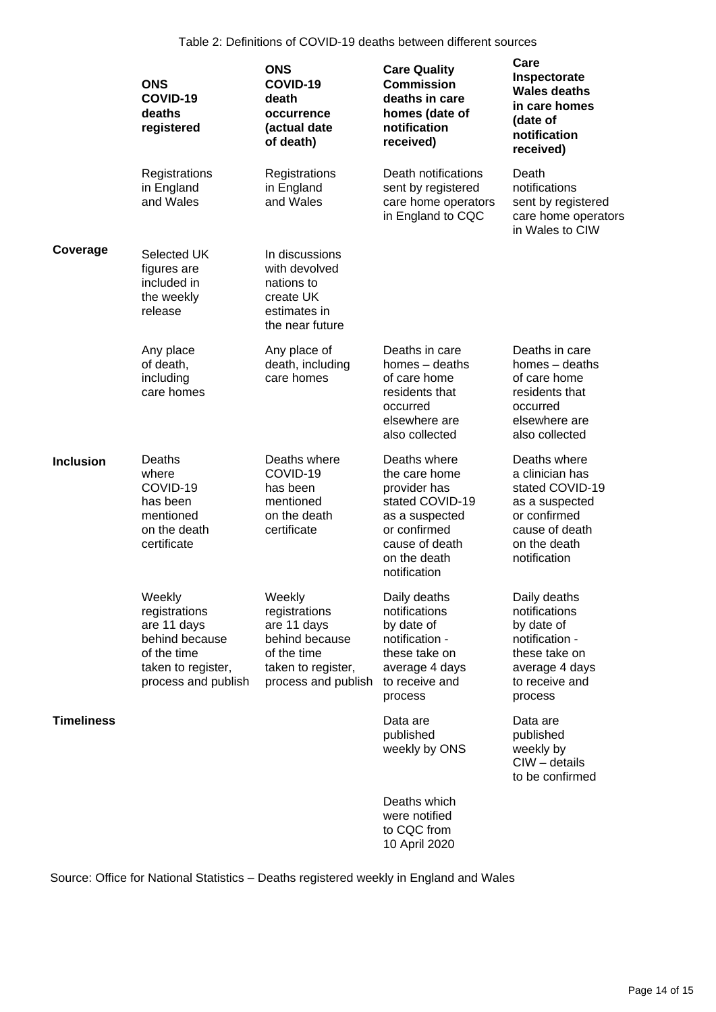Table 2: Definitions of COVID-19 deaths between different sources

|                   | <b>ONS</b><br>COVID-19<br>deaths<br>registered                                                                       | <b>ONS</b><br>COVID-19<br>death<br>occurrence<br>(actual date<br>of death)                                           | <b>Care Quality</b><br><b>Commission</b><br>deaths in care<br>homes (date of<br>notification<br>received)                                            | Care<br>Inspectorate<br><b>Wales deaths</b><br>in care homes<br>(date of<br>notification<br>received)                                  |
|-------------------|----------------------------------------------------------------------------------------------------------------------|----------------------------------------------------------------------------------------------------------------------|------------------------------------------------------------------------------------------------------------------------------------------------------|----------------------------------------------------------------------------------------------------------------------------------------|
|                   | Registrations<br>in England<br>and Wales                                                                             | Registrations<br>in England<br>and Wales                                                                             | Death notifications<br>sent by registered<br>care home operators<br>in England to CQC                                                                | Death<br>notifications<br>sent by registered<br>care home operators<br>in Wales to CIW                                                 |
| Coverage          | Selected UK<br>figures are<br>included in<br>the weekly<br>release                                                   | In discussions<br>with devolved<br>nations to<br>create UK<br>estimates in<br>the near future                        |                                                                                                                                                      |                                                                                                                                        |
|                   | Any place<br>of death,<br>including<br>care homes                                                                    | Any place of<br>death, including<br>care homes                                                                       | Deaths in care<br>homes - deaths<br>of care home<br>residents that<br>occurred<br>elsewhere are<br>also collected                                    | Deaths in care<br>homes $-$ deaths<br>of care home<br>residents that<br>occurred<br>elsewhere are<br>also collected                    |
| <b>Inclusion</b>  | Deaths<br>where<br>COVID-19<br>has been<br>mentioned<br>on the death<br>certificate                                  | Deaths where<br>COVID-19<br>has been<br>mentioned<br>on the death<br>certificate                                     | Deaths where<br>the care home<br>provider has<br>stated COVID-19<br>as a suspected<br>or confirmed<br>cause of death<br>on the death<br>notification | Deaths where<br>a clinician has<br>stated COVID-19<br>as a suspected<br>or confirmed<br>cause of death<br>on the death<br>notification |
|                   | Weekly<br>registrations<br>are 11 days<br>behind because<br>of the time<br>taken to register,<br>process and publish | Weekly<br>registrations<br>are 11 days<br>behind because<br>of the time<br>taken to register,<br>process and publish | Daily deaths<br>notifications<br>by date of<br>notification -<br>these take on<br>average 4 days<br>to receive and<br>process                        | Daily deaths<br>notifications<br>by date of<br>notification -<br>these take on<br>average 4 days<br>to receive and<br>process          |
| <b>Timeliness</b> |                                                                                                                      |                                                                                                                      | Data are<br>published<br>weekly by ONS                                                                                                               | Data are<br>published<br>weekly by<br>$C1W - details$<br>to be confirmed                                                               |
|                   |                                                                                                                      |                                                                                                                      | Deaths which<br>were notified                                                                                                                        |                                                                                                                                        |

Source: Office for National Statistics – Deaths registered weekly in England and Wales

to CQC from 10 April 2020